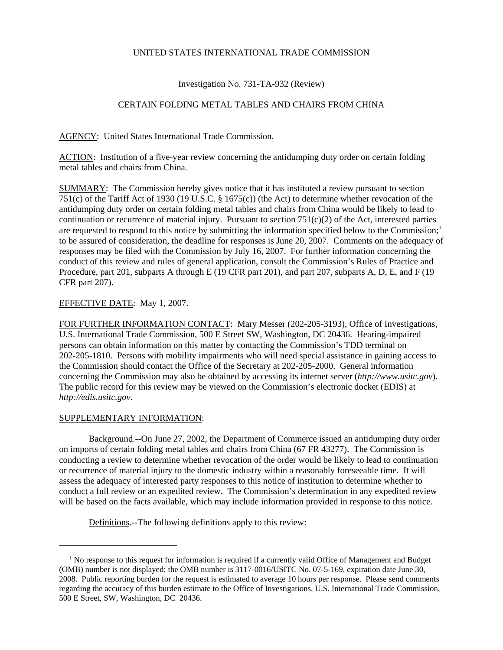# UNITED STATES INTERNATIONAL TRADE COMMISSION

# Investigation No. 731-TA-932 (Review)

# CERTAIN FOLDING METAL TABLES AND CHAIRS FROM CHINA

AGENCY: United States International Trade Commission.

ACTION: Institution of a five-year review concerning the antidumping duty order on certain folding metal tables and chairs from China.

SUMMARY: The Commission hereby gives notice that it has instituted a review pursuant to section 751(c) of the Tariff Act of 1930 (19 U.S.C. § 1675(c)) (the Act) to determine whether revocation of the antidumping duty order on certain folding metal tables and chairs from China would be likely to lead to continuation or recurrence of material injury. Pursuant to section  $751(c)(2)$  of the Act, interested parties are requested to respond to this notice by submitting the information specified below to the Commission;<sup>1</sup> to be assured of consideration, the deadline for responses is June 20, 2007. Comments on the adequacy of responses may be filed with the Commission by July 16, 2007. For further information concerning the conduct of this review and rules of general application, consult the Commission's Rules of Practice and Procedure, part 201, subparts A through E (19 CFR part 201), and part 207, subparts A, D, E, and F (19 CFR part 207).

#### EFFECTIVE DATE: May 1, 2007.

FOR FURTHER INFORMATION CONTACT: Mary Messer (202-205-3193), Office of Investigations, U.S. International Trade Commission, 500 E Street SW, Washington, DC 20436. Hearing-impaired persons can obtain information on this matter by contacting the Commission's TDD terminal on 202-205-1810. Persons with mobility impairments who will need special assistance in gaining access to the Commission should contact the Office of the Secretary at 202-205-2000. General information concerning the Commission may also be obtained by accessing its internet server (*http://www.usitc.gov*). The public record for this review may be viewed on the Commission's electronic docket (EDIS) at *http://edis.usitc.gov*.

### SUPPLEMENTARY INFORMATION:

Background.--On June 27, 2002, the Department of Commerce issued an antidumping duty order on imports of certain folding metal tables and chairs from China (67 FR 43277). The Commission is conducting a review to determine whether revocation of the order would be likely to lead to continuation or recurrence of material injury to the domestic industry within a reasonably foreseeable time. It will assess the adequacy of interested party responses to this notice of institution to determine whether to conduct a full review or an expedited review. The Commission's determination in any expedited review will be based on the facts available, which may include information provided in response to this notice.

Definitions.--The following definitions apply to this review:

<sup>&</sup>lt;sup>1</sup> No response to this request for information is required if a currently valid Office of Management and Budget (OMB) number is not displayed; the OMB number is 3117-0016/USITC No. 07-5-169, expiration date June 30, 2008. Public reporting burden for the request is estimated to average 10 hours per response. Please send comments regarding the accuracy of this burden estimate to the Office of Investigations, U.S. International Trade Commission, 500 E Street, SW, Washington, DC 20436.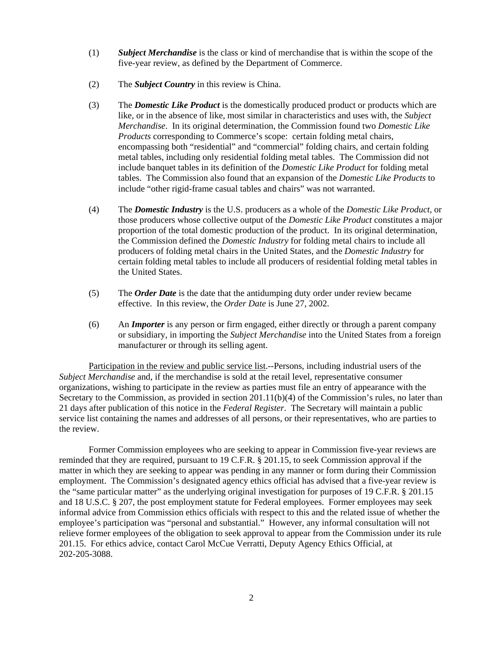- (1) *Subject Merchandise* is the class or kind of merchandise that is within the scope of the five-year review, as defined by the Department of Commerce.
- (2) The *Subject Country* in this review is China.
- (3) The *Domestic Like Product* is the domestically produced product or products which are like, or in the absence of like, most similar in characteristics and uses with, the *Subject Merchandise*. In its original determination, the Commission found two *Domestic Like Products* corresponding to Commerce's scope: certain folding metal chairs, encompassing both "residential" and "commercial" folding chairs, and certain folding metal tables, including only residential folding metal tables. The Commission did not include banquet tables in its definition of the *Domestic Like Product* for folding metal tables. The Commission also found that an expansion of the *Domestic Like Products* to include "other rigid-frame casual tables and chairs" was not warranted.
- (4) The *Domestic Industry* is the U.S. producers as a whole of the *Domestic Like Product*, or those producers whose collective output of the *Domestic Like Product* constitutes a major proportion of the total domestic production of the product. In its original determination, the Commission defined the *Domestic Industry* for folding metal chairs to include all producers of folding metal chairs in the United States, and the *Domestic Industry* for certain folding metal tables to include all producers of residential folding metal tables in the United States.
- (5) The *Order Date* is the date that the antidumping duty order under review became effective. In this review, the *Order Date* is June 27, 2002.
- (6) An *Importer* is any person or firm engaged, either directly or through a parent company or subsidiary, in importing the *Subject Merchandise* into the United States from a foreign manufacturer or through its selling agent.

Participation in the review and public service list.--Persons, including industrial users of the *Subject Merchandise* and, if the merchandise is sold at the retail level, representative consumer organizations, wishing to participate in the review as parties must file an entry of appearance with the Secretary to the Commission, as provided in section 201.11(b)(4) of the Commission's rules, no later than 21 days after publication of this notice in the *Federal Register*. The Secretary will maintain a public service list containing the names and addresses of all persons, or their representatives, who are parties to the review.

Former Commission employees who are seeking to appear in Commission five-year reviews are reminded that they are required, pursuant to 19 C.F.R. § 201.15, to seek Commission approval if the matter in which they are seeking to appear was pending in any manner or form during their Commission employment. The Commission's designated agency ethics official has advised that a five-year review is the "same particular matter" as the underlying original investigation for purposes of 19 C.F.R. § 201.15 and 18 U.S.C. § 207, the post employment statute for Federal employees. Former employees may seek informal advice from Commission ethics officials with respect to this and the related issue of whether the employee's participation was "personal and substantial." However, any informal consultation will not relieve former employees of the obligation to seek approval to appear from the Commission under its rule 201.15. For ethics advice, contact Carol McCue Verratti, Deputy Agency Ethics Official, at 202-205-3088.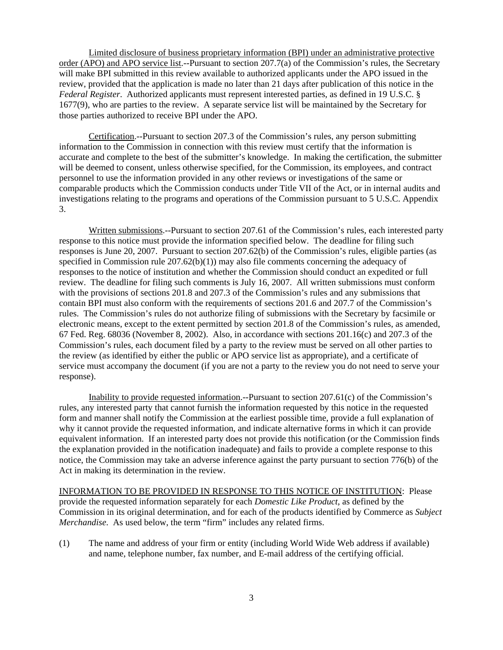Limited disclosure of business proprietary information (BPI) under an administrative protective order (APO) and APO service list.--Pursuant to section 207.7(a) of the Commission's rules, the Secretary will make BPI submitted in this review available to authorized applicants under the APO issued in the review, provided that the application is made no later than 21 days after publication of this notice in the *Federal Register*. Authorized applicants must represent interested parties, as defined in 19 U.S.C. § 1677(9), who are parties to the review. A separate service list will be maintained by the Secretary for those parties authorized to receive BPI under the APO.

Certification.--Pursuant to section 207.3 of the Commission's rules, any person submitting information to the Commission in connection with this review must certify that the information is accurate and complete to the best of the submitter's knowledge. In making the certification, the submitter will be deemed to consent, unless otherwise specified, for the Commission, its employees, and contract personnel to use the information provided in any other reviews or investigations of the same or comparable products which the Commission conducts under Title VII of the Act, or in internal audits and investigations relating to the programs and operations of the Commission pursuant to 5 U.S.C. Appendix 3.

Written submissions.--Pursuant to section 207.61 of the Commission's rules, each interested party response to this notice must provide the information specified below. The deadline for filing such responses is June 20, 2007. Pursuant to section 207.62(b) of the Commission's rules, eligible parties (as specified in Commission rule  $207.62(b)(1)$  may also file comments concerning the adequacy of responses to the notice of institution and whether the Commission should conduct an expedited or full review. The deadline for filing such comments is July 16, 2007. All written submissions must conform with the provisions of sections 201.8 and 207.3 of the Commission's rules and any submissions that contain BPI must also conform with the requirements of sections 201.6 and 207.7 of the Commission's rules. The Commission's rules do not authorize filing of submissions with the Secretary by facsimile or electronic means, except to the extent permitted by section 201.8 of the Commission's rules, as amended, 67 Fed. Reg. 68036 (November 8, 2002). Also, in accordance with sections 201.16(c) and 207.3 of the Commission's rules, each document filed by a party to the review must be served on all other parties to the review (as identified by either the public or APO service list as appropriate), and a certificate of service must accompany the document (if you are not a party to the review you do not need to serve your response).

Inability to provide requested information.--Pursuant to section 207.61(c) of the Commission's rules, any interested party that cannot furnish the information requested by this notice in the requested form and manner shall notify the Commission at the earliest possible time, provide a full explanation of why it cannot provide the requested information, and indicate alternative forms in which it can provide equivalent information. If an interested party does not provide this notification (or the Commission finds the explanation provided in the notification inadequate) and fails to provide a complete response to this notice, the Commission may take an adverse inference against the party pursuant to section 776(b) of the Act in making its determination in the review.

INFORMATION TO BE PROVIDED IN RESPONSE TO THIS NOTICE OF INSTITUTION: Please provide the requested information separately for each *Domestic Like Product*, as defined by the Commission in its original determination, and for each of the products identified by Commerce as *Subject Merchandise*. As used below, the term "firm" includes any related firms.

(1) The name and address of your firm or entity (including World Wide Web address if available) and name, telephone number, fax number, and E-mail address of the certifying official.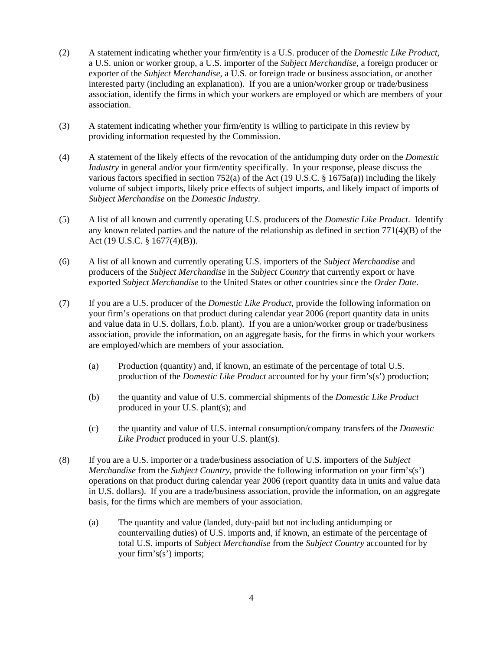- (2) A statement indicating whether your firm/entity is a U.S. producer of the *Domestic Like Product*, a U.S. union or worker group, a U.S. importer of the *Subject Merchandise*, a foreign producer or exporter of the *Subject Merchandise*, a U.S. or foreign trade or business association, or another interested party (including an explanation). If you are a union/worker group or trade/business association, identify the firms in which your workers are employed or which are members of your association.
- (3) A statement indicating whether your firm/entity is willing to participate in this review by providing information requested by the Commission.
- (4) A statement of the likely effects of the revocation of the antidumping duty order on the *Domestic Industry* in general and/or your firm/entity specifically. In your response, please discuss the various factors specified in section 752(a) of the Act (19 U.S.C. § 1675a(a)) including the likely volume of subject imports, likely price effects of subject imports, and likely impact of imports of *Subject Merchandise* on the *Domestic Industry*.
- (5) A list of all known and currently operating U.S. producers of the *Domestic Like Product*. Identify any known related parties and the nature of the relationship as defined in section 771(4)(B) of the Act (19 U.S.C. § 1677(4)(B)).
- (6) A list of all known and currently operating U.S. importers of the *Subject Merchandise* and producers of the *Subject Merchandise* in the *Subject Country* that currently export or have exported *Subject Merchandise* to the United States or other countries since the *Order Date*.
- (7) If you are a U.S. producer of the *Domestic Like Product*, provide the following information on your firm's operations on that product during calendar year 2006 (report quantity data in units and value data in U.S. dollars, f.o.b. plant). If you are a union/worker group or trade/business association, provide the information, on an aggregate basis, for the firms in which your workers are employed/which are members of your association.
	- (a) Production (quantity) and, if known, an estimate of the percentage of total U.S. production of the *Domestic Like Product* accounted for by your firm's(s') production;
	- (b) the quantity and value of U.S. commercial shipments of the *Domestic Like Product* produced in your U.S. plant(s); and
	- (c) the quantity and value of U.S. internal consumption/company transfers of the *Domestic Like Product* produced in your U.S. plant(s).
- (8) If you are a U.S. importer or a trade/business association of U.S. importers of the *Subject Merchandise* from the *Subject Country*, provide the following information on your firm's(s') operations on that product during calendar year 2006 (report quantity data in units and value data in U.S. dollars). If you are a trade/business association, provide the information, on an aggregate basis, for the firms which are members of your association.
	- (a) The quantity and value (landed, duty-paid but not including antidumping or countervailing duties) of U.S. imports and, if known, an estimate of the percentage of total U.S. imports of *Subject Merchandise* from the *Subject Country* accounted for by your firm's(s') imports;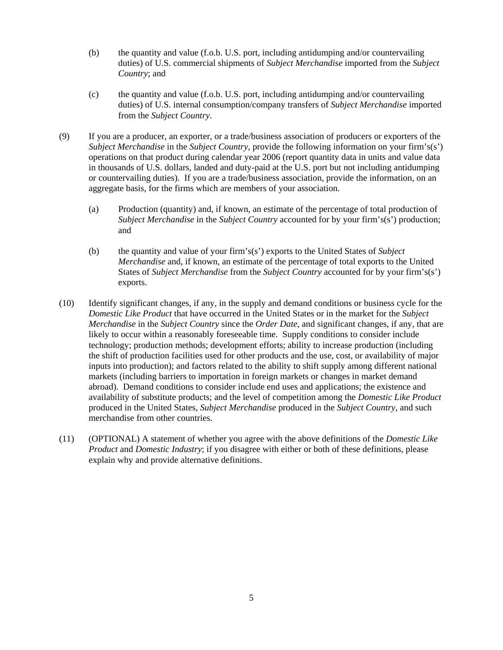- (b) the quantity and value (f.o.b. U.S. port, including antidumping and/or countervailing duties) of U.S. commercial shipments of *Subject Merchandise* imported from the *Subject Country*; and
- (c) the quantity and value (f.o.b. U.S. port, including antidumping and/or countervailing duties) of U.S. internal consumption/company transfers of *Subject Merchandise* imported from the *Subject Country*.
- (9) If you are a producer, an exporter, or a trade/business association of producers or exporters of the *Subject Merchandise* in the *Subject Country*, provide the following information on your firm's(s') operations on that product during calendar year 2006 (report quantity data in units and value data in thousands of U.S. dollars, landed and duty-paid at the U.S. port but not including antidumping or countervailing duties). If you are a trade/business association, provide the information, on an aggregate basis, for the firms which are members of your association.
	- (a) Production (quantity) and, if known, an estimate of the percentage of total production of *Subject Merchandise* in the *Subject Country* accounted for by your firm's(s') production; and
	- (b) the quantity and value of your firm's(s') exports to the United States of *Subject Merchandise* and, if known, an estimate of the percentage of total exports to the United States of *Subject Merchandise* from the *Subject Country* accounted for by your firm's(s') exports.
- (10) Identify significant changes, if any, in the supply and demand conditions or business cycle for the *Domestic Like Product* that have occurred in the United States or in the market for the *Subject Merchandise* in the *Subject Country* since the *Order Date*, and significant changes, if any, that are likely to occur within a reasonably foreseeable time. Supply conditions to consider include technology; production methods; development efforts; ability to increase production (including the shift of production facilities used for other products and the use, cost, or availability of major inputs into production); and factors related to the ability to shift supply among different national markets (including barriers to importation in foreign markets or changes in market demand abroad). Demand conditions to consider include end uses and applications; the existence and availability of substitute products; and the level of competition among the *Domestic Like Product* produced in the United States, *Subject Merchandise* produced in the *Subject Country*, and such merchandise from other countries.
- (11) (OPTIONAL) A statement of whether you agree with the above definitions of the *Domestic Like Product* and *Domestic Industry*; if you disagree with either or both of these definitions, please explain why and provide alternative definitions.